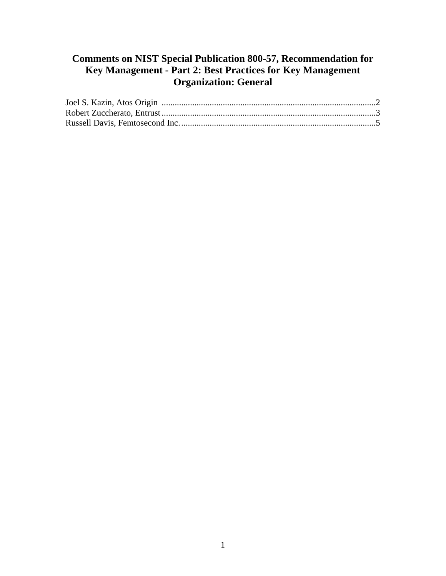## **Comments on NIST Special Publication 800-57, Recommendation for Key Management - Part 2: Best Practices for Key Management Organization: General**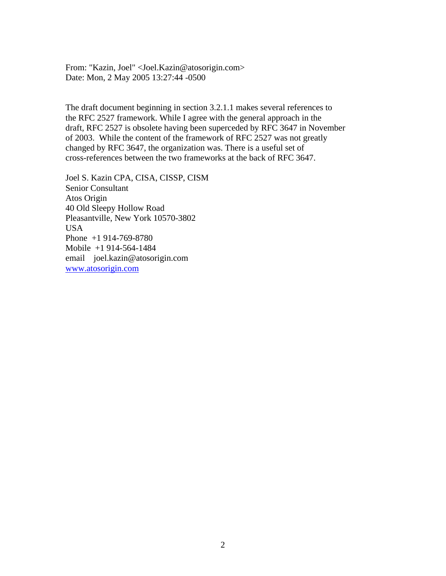<span id="page-1-0"></span>From: "Kazin, Joel" <Joel.Kazin@atosorigin.com> Date: Mon, 2 May 2005 13:27:44 -0500

The draft document beginning in section 3.2.1.1 makes several references to the RFC 2527 framework. While I agree with the general approach in the draft, RFC 2527 is obsolete having been superceded by RFC 3647 in November of 2003. While the content of the framework of RFC 2527 was not greatly changed by RFC 3647, the organization was. There is a useful set of cross-references between the two frameworks at the back of RFC 3647.

email joel.kazin@atosorigin.com<br>www.atosorigin.com Joel S. Kazin CPA, CISA, CISSP, CISM Senior Consultant Atos Origin 40 Old Sleepy Hollow Road Pleasantville, New York 10570-3802 USA Phone +1 914-769-8780 Mobile +1 914-564-1484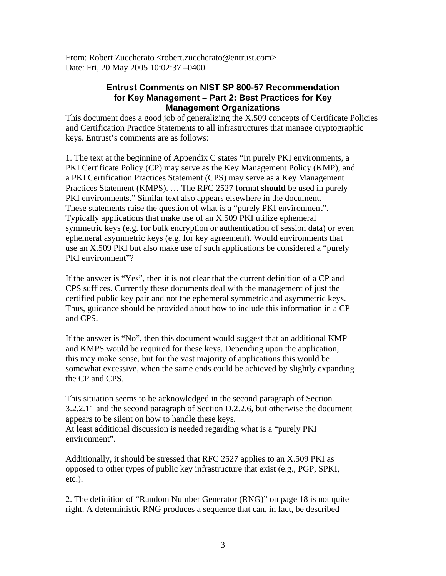<span id="page-2-0"></span>From: Robert Zuccherato <robert.zuccherato@entrust.com> Date: Fri, 20 May 2005 10:02:37 –0400

## **Entrust Comments on NIST SP 800-57 Recommendation for Key Management – Part 2: Best Practices for Key Management Organizations**

This document does a good job of generalizing the X.509 concepts of Certificate Policies and Certification Practice Statements to all infrastructures that manage cryptographic keys. Entrust's comments are as follows:

1. The text at the beginning of Appendix C states "In purely PKI environments, a PKI Certificate Policy (CP) may serve as the Key Management Policy (KMP), and a PKI Certification Practices Statement (CPS) may serve as a Key Management Practices Statement (KMPS). … The RFC 2527 format **should** be used in purely PKI environments." Similar text also appears elsewhere in the document. These statements raise the question of what is a "purely PKI environment". Typically applications that make use of an X.509 PKI utilize ephemeral symmetric keys (e.g. for bulk encryption or authentication of session data) or even ephemeral asymmetric keys (e.g. for key agreement). Would environments that use an X.509 PKI but also make use of such applications be considered a "purely PKI environment"?

If the answer is "Yes", then it is not clear that the current definition of a CP and CPS suffices. Currently these documents deal with the management of just the certified public key pair and not the ephemeral symmetric and asymmetric keys. Thus, guidance should be provided about how to include this information in a CP and CPS.

If the answer is "No", then this document would suggest that an additional KMP and KMPS would be required for these keys. Depending upon the application, this may make sense, but for the vast majority of applications this would be somewhat excessive, when the same ends could be achieved by slightly expanding the CP and CPS.

This situation seems to be acknowledged in the second paragraph of Section 3.2.2.11 and the second paragraph of Section D.2.2.6, but otherwise the document appears to be silent on how to handle these keys. At least additional discussion is needed regarding what is a "purely PKI environment".

Additionally, it should be stressed that RFC 2527 applies to an X.509 PKI as opposed to other types of public key infrastructure that exist (e.g., PGP, SPKI, etc.).

2. The definition of "Random Number Generator (RNG)" on page 18 is not quite right. A deterministic RNG produces a sequence that can, in fact, be described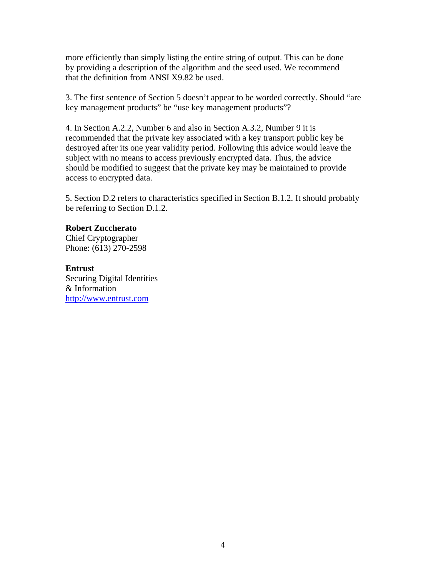more efficiently than simply listing the entire string of output. This can be done by providing a description of the algorithm and the seed used. We recommend that the definition from ANSI X9.82 be used.

3. The first sentence of Section 5 doesn't appear to be worded correctly. Should "are key management products" be "use key management products"?

4. In Section A.2.2, Number 6 and also in Section A.3.2, Number 9 it is recommended that the private key associated with a key transport public key be destroyed after its one year validity period. Following this advice would leave the subject with no means to access previously encrypted data. Thus, the advice should be modified to suggest that the private key may be maintained to provide access to encrypted data.

5. Section D.2 refers to characteristics specified in Section B.1.2. It should probably be referring to Section D.1.2.

## **Robert Zuccherato**

Chief Cryptographer Phone: (613) 270-2598

## **Entrust**

http://www.entrust.com Securing Digital Identities & Information http://www.entrust.com 4